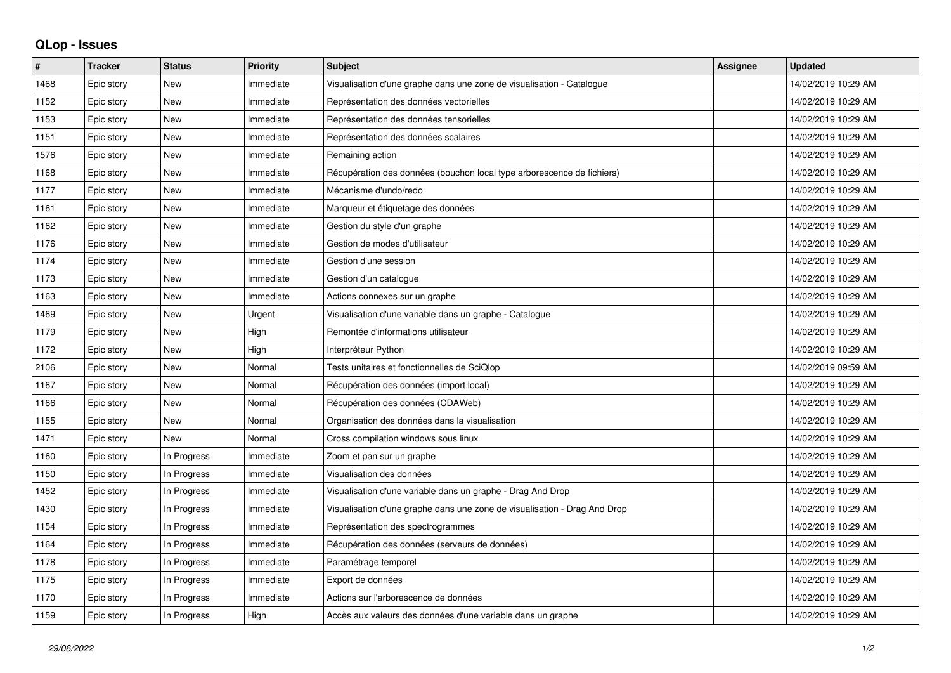## **QLop - Issues**

| ∦    | <b>Tracker</b> | <b>Status</b> | <b>Priority</b> | <b>Subject</b>                                                            | <b>Assignee</b> | <b>Updated</b>      |
|------|----------------|---------------|-----------------|---------------------------------------------------------------------------|-----------------|---------------------|
| 1468 | Epic story     | <b>New</b>    | Immediate       | Visualisation d'une graphe dans une zone de visualisation - Catalogue     |                 | 14/02/2019 10:29 AM |
| 1152 | Epic story     | <b>New</b>    | Immediate       | Représentation des données vectorielles                                   |                 | 14/02/2019 10:29 AM |
| 1153 | Epic story     | <b>New</b>    | Immediate       | Représentation des données tensorielles                                   |                 | 14/02/2019 10:29 AM |
| 1151 | Epic story     | New           | Immediate       | Représentation des données scalaires                                      |                 | 14/02/2019 10:29 AM |
| 1576 | Epic story     | New           | Immediate       | Remaining action                                                          |                 | 14/02/2019 10:29 AM |
| 1168 | Epic story     | <b>New</b>    | Immediate       | Récupération des données (bouchon local type arborescence de fichiers)    |                 | 14/02/2019 10:29 AM |
| 1177 | Epic story     | New           | Immediate       | Mécanisme d'undo/redo                                                     |                 | 14/02/2019 10:29 AM |
| 1161 | Epic story     | <b>New</b>    | Immediate       | Marqueur et étiquetage des données                                        |                 | 14/02/2019 10:29 AM |
| 1162 | Epic story     | <b>New</b>    | Immediate       | Gestion du style d'un graphe                                              |                 | 14/02/2019 10:29 AM |
| 1176 | Epic story     | <b>New</b>    | Immediate       | Gestion de modes d'utilisateur                                            |                 | 14/02/2019 10:29 AM |
| 1174 | Epic story     | New           | Immediate       | Gestion d'une session                                                     |                 | 14/02/2019 10:29 AM |
| 1173 | Epic story     | <b>New</b>    | Immediate       | Gestion d'un catalogue                                                    |                 | 14/02/2019 10:29 AM |
| 1163 | Epic story     | New           | Immediate       | Actions connexes sur un graphe                                            |                 | 14/02/2019 10:29 AM |
| 1469 | Epic story     | <b>New</b>    | Urgent          | Visualisation d'une variable dans un graphe - Catalogue                   |                 | 14/02/2019 10:29 AM |
| 1179 | Epic story     | <b>New</b>    | High            | Remontée d'informations utilisateur                                       |                 | 14/02/2019 10:29 AM |
| 1172 | Epic story     | New           | High            | Interpréteur Python                                                       |                 | 14/02/2019 10:29 AM |
| 2106 | Epic story     | <b>New</b>    | Normal          | Tests unitaires et fonctionnelles de SciQlop                              |                 | 14/02/2019 09:59 AM |
| 1167 | Epic story     | <b>New</b>    | Normal          | Récupération des données (import local)                                   |                 | 14/02/2019 10:29 AM |
| 1166 | Epic story     | <b>New</b>    | Normal          | Récupération des données (CDAWeb)                                         |                 | 14/02/2019 10:29 AM |
| 1155 | Epic story     | <b>New</b>    | Normal          | Organisation des données dans la visualisation                            |                 | 14/02/2019 10:29 AM |
| 1471 | Epic story     | <b>New</b>    | Normal          | Cross compilation windows sous linux                                      |                 | 14/02/2019 10:29 AM |
| 1160 | Epic story     | In Progress   | Immediate       | Zoom et pan sur un graphe                                                 |                 | 14/02/2019 10:29 AM |
| 1150 | Epic story     | In Progress   | Immediate       | Visualisation des données                                                 |                 | 14/02/2019 10:29 AM |
| 1452 | Epic story     | In Progress   | Immediate       | Visualisation d'une variable dans un graphe - Drag And Drop               |                 | 14/02/2019 10:29 AM |
| 1430 | Epic story     | In Progress   | Immediate       | Visualisation d'une graphe dans une zone de visualisation - Drag And Drop |                 | 14/02/2019 10:29 AM |
| 1154 | Epic story     | In Progress   | Immediate       | Représentation des spectrogrammes                                         |                 | 14/02/2019 10:29 AM |
| 1164 | Epic story     | In Progress   | Immediate       | Récupération des données (serveurs de données)                            |                 | 14/02/2019 10:29 AM |
| 1178 | Epic story     | In Progress   | Immediate       | Paramétrage temporel                                                      |                 | 14/02/2019 10:29 AM |
| 1175 | Epic story     | In Progress   | Immediate       | Export de données                                                         |                 | 14/02/2019 10:29 AM |
| 1170 | Epic story     | In Progress   | Immediate       | Actions sur l'arborescence de données                                     |                 | 14/02/2019 10:29 AM |
| 1159 | Epic story     | In Progress   | High            | Accès aux valeurs des données d'une variable dans un graphe               |                 | 14/02/2019 10:29 AM |